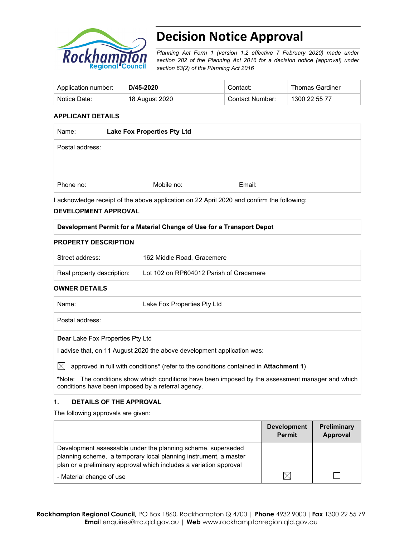

# **Decision Notice Approval**

*Planning Act Form 1 (version 1.2 effective 7 February 2020) made under section 282 of the Planning Act 2016 for a decision notice (approval) under section 63(2) of the Planning Act 2016*

| Application number: | D/45-2020      | Contact:        | <b>Thomas Gardiner</b> |
|---------------------|----------------|-----------------|------------------------|
| Notice Date:        | 18 August 2020 | Contact Number: | 1300 22 55 77          |

#### **APPLICANT DETAILS**

| Name:           | <b>Lake Fox Properties Pty Ltd</b> |        |  |
|-----------------|------------------------------------|--------|--|
| Postal address: |                                    |        |  |
|                 |                                    |        |  |
|                 |                                    |        |  |
| Phone no:       | Mobile no:                         | Email: |  |

I acknowledge receipt of the above application on 22 April 2020 and confirm the following:

#### **DEVELOPMENT APPROVAL**

#### **Development Permit for a Material Change of Use for a Transport Depot**

#### **PROPERTY DESCRIPTION**

| Street address:            | 162 Middle Road, Gracemere              |
|----------------------------|-----------------------------------------|
| Real property description: | Lot 102 on RP604012 Parish of Gracemere |

#### **OWNER DETAILS**

| Name:           | Lake Fox Properties Pty Ltd |
|-----------------|-----------------------------|
| Postal address: |                             |
|                 |                             |

**Dear** Lake Fox Properties Pty Ltd

I advise that, on 11 August 2020 the above development application was:

 $\boxtimes$  approved in full with conditions<sup>\*</sup> (refer to the conditions contained in **Attachment 1**)

**\***Note:The conditions show which conditions have been imposed by the assessment manager and which conditions have been imposed by a referral agency.

#### **1. DETAILS OF THE APPROVAL**

The following approvals are given:

|                                                                                                                                                                                                        | <b>Development</b><br><b>Permit</b> | <b>Preliminary</b><br>Approval |
|--------------------------------------------------------------------------------------------------------------------------------------------------------------------------------------------------------|-------------------------------------|--------------------------------|
| Development assessable under the planning scheme, superseded<br>planning scheme, a temporary local planning instrument, a master<br>plan or a preliminary approval which includes a variation approval |                                     |                                |
| - Material change of use                                                                                                                                                                               |                                     |                                |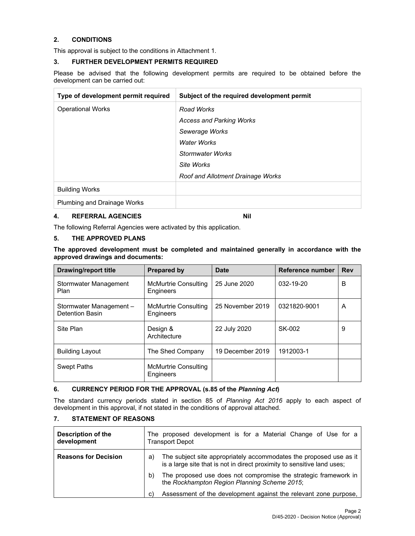#### **2. CONDITIONS**

This approval is subject to the conditions in Attachment 1.

#### **3. FURTHER DEVELOPMENT PERMITS REQUIRED**

Please be advised that the following development permits are required to be obtained before the development can be carried out:

| Type of development permit required | Subject of the required development permit |
|-------------------------------------|--------------------------------------------|
| <b>Operational Works</b>            | Road Works                                 |
|                                     | <b>Access and Parking Works</b>            |
|                                     | Sewerage Works                             |
|                                     | <b>Water Works</b>                         |
|                                     | <b>Stormwater Works</b>                    |
|                                     | Site Works                                 |
|                                     | Roof and Allotment Drainage Works          |
| <b>Building Works</b>               |                                            |
| <b>Plumbing and Drainage Works</b>  |                                            |

#### **4. REFERRAL AGENCIES NIL 2018**

The following Referral Agencies were activated by this application.

### **5. THE APPROVED PLANS**

**The approved development must be completed and maintained generally in accordance with the approved drawings and documents:** 

| Drawing/report title                      | <b>Prepared by</b>                | Date             | Reference number | <b>Rev</b> |
|-------------------------------------------|-----------------------------------|------------------|------------------|------------|
| Stormwater Management<br>Plan             | McMurtrie Consulting<br>Engineers | 25 June 2020     | 032-19-20        | В          |
| Stormwater Management-<br>Detention Basin | McMurtrie Consulting<br>Engineers | 25 November 2019 | 0321820-9001     | A          |
| Site Plan                                 | Design &<br>Architecture          | 22 July 2020     | SK-002           | 9          |
| <b>Building Layout</b>                    | The Shed Company                  | 19 December 2019 | 1912003-1        |            |
| <b>Swept Paths</b>                        | McMurtrie Consulting<br>Engineers |                  |                  |            |

#### **6. CURRENCY PERIOD FOR THE APPROVAL (s.85 of the** *Planning Act***)**

The standard currency periods stated in section 85 of *Planning Act 2016* apply to each aspect of development in this approval, if not stated in the conditions of approval attached.

#### **7. STATEMENT OF REASONS**

| <b>Description of the</b><br>development | The proposed development is for a Material Change of Use for a<br><b>Transport Depot</b>                                                            |  |  |
|------------------------------------------|-----------------------------------------------------------------------------------------------------------------------------------------------------|--|--|
| <b>Reasons for Decision</b>              | The subject site appropriately accommodates the proposed use as it<br>a)<br>is a large site that is not in direct proximity to sensitive land uses; |  |  |
|                                          | The proposed use does not compromise the strategic framework in<br>b)<br>the Rockhampton Region Planning Scheme 2015;                               |  |  |
|                                          | Assessment of the development against the relevant zone purpose,<br>C)                                                                              |  |  |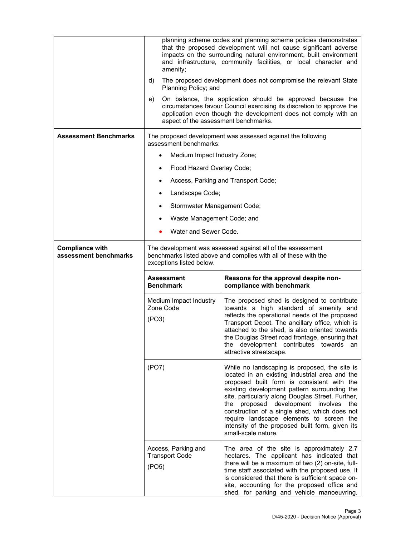|                                                 | planning scheme codes and planning scheme policies demonstrates<br>that the proposed development will not cause significant adverse<br>impacts on the surrounding natural environment, built environment<br>and infrastructure, community facilities, or local character and<br>amenity;<br>d)<br>The proposed development does not compromise the relevant State<br>Planning Policy; and |                                                                                                                                                                                                                                                                                                                                                                                          |  |  |
|-------------------------------------------------|-------------------------------------------------------------------------------------------------------------------------------------------------------------------------------------------------------------------------------------------------------------------------------------------------------------------------------------------------------------------------------------------|------------------------------------------------------------------------------------------------------------------------------------------------------------------------------------------------------------------------------------------------------------------------------------------------------------------------------------------------------------------------------------------|--|--|
|                                                 | e)<br>aspect of the assessment benchmarks.                                                                                                                                                                                                                                                                                                                                                | On balance, the application should be approved because the<br>circumstances favour Council exercising its discretion to approve the<br>application even though the development does not comply with an                                                                                                                                                                                   |  |  |
| <b>Assessment Benchmarks</b>                    | assessment benchmarks:                                                                                                                                                                                                                                                                                                                                                                    | The proposed development was assessed against the following                                                                                                                                                                                                                                                                                                                              |  |  |
|                                                 | Medium Impact Industry Zone;<br>$\bullet$                                                                                                                                                                                                                                                                                                                                                 |                                                                                                                                                                                                                                                                                                                                                                                          |  |  |
|                                                 | Flood Hazard Overlay Code;<br>$\bullet$                                                                                                                                                                                                                                                                                                                                                   |                                                                                                                                                                                                                                                                                                                                                                                          |  |  |
|                                                 |                                                                                                                                                                                                                                                                                                                                                                                           | Access, Parking and Transport Code;                                                                                                                                                                                                                                                                                                                                                      |  |  |
|                                                 | Landscape Code;<br>٠                                                                                                                                                                                                                                                                                                                                                                      |                                                                                                                                                                                                                                                                                                                                                                                          |  |  |
|                                                 | Stormwater Management Code;                                                                                                                                                                                                                                                                                                                                                               |                                                                                                                                                                                                                                                                                                                                                                                          |  |  |
|                                                 | Waste Management Code; and                                                                                                                                                                                                                                                                                                                                                                |                                                                                                                                                                                                                                                                                                                                                                                          |  |  |
|                                                 | Water and Sewer Code.                                                                                                                                                                                                                                                                                                                                                                     |                                                                                                                                                                                                                                                                                                                                                                                          |  |  |
| <b>Compliance with</b><br>assessment benchmarks | The development was assessed against all of the assessment<br>benchmarks listed above and complies with all of these with the<br>exceptions listed below.                                                                                                                                                                                                                                 |                                                                                                                                                                                                                                                                                                                                                                                          |  |  |
|                                                 | Assessment<br><b>Benchmark</b>                                                                                                                                                                                                                                                                                                                                                            | Reasons for the approval despite non-<br>compliance with benchmark                                                                                                                                                                                                                                                                                                                       |  |  |
|                                                 | Medium Impact Industry<br>Zone Code<br>(PO3)                                                                                                                                                                                                                                                                                                                                              | The proposed shed is designed to contribute<br>towards a high standard of amenity and<br>reflects the operational needs of the proposed<br>Transport Depot. The ancillary office, which is<br>attached to the shed, is also oriented towards<br>the Douglas Street road frontage, ensuring that<br>the development contributes towards an<br>attractive streetscape.                     |  |  |
|                                                 | (PO7)                                                                                                                                                                                                                                                                                                                                                                                     | While no landscaping is proposed, the site is<br>located in an existing industrial area and the<br>proposed built form is consistent with the<br>existing development pattern surrounding the<br>site, particularly along Douglas Street. Further,<br>the proposed development involves the<br>construction of a single shed, which does not<br>require landscape elements to screen the |  |  |
|                                                 |                                                                                                                                                                                                                                                                                                                                                                                           | intensity of the proposed built form, given its<br>small-scale nature.                                                                                                                                                                                                                                                                                                                   |  |  |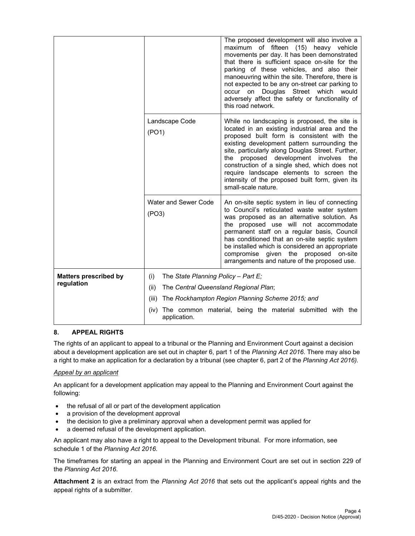|                              |                                               | The proposed development will also involve a<br>maximum of fifteen (15) heavy vehicle<br>movements per day. It has been demonstrated<br>that there is sufficient space on-site for the<br>parking of these vehicles, and also their<br>manoeuvring within the site. Therefore, there is<br>not expected to be any on-street car parking to<br>occur on Douglas Street which<br>would<br>adversely affect the safety or functionality of<br>this road network.            |  |  |
|------------------------------|-----------------------------------------------|--------------------------------------------------------------------------------------------------------------------------------------------------------------------------------------------------------------------------------------------------------------------------------------------------------------------------------------------------------------------------------------------------------------------------------------------------------------------------|--|--|
|                              | Landscape Code<br>(PO1)                       | While no landscaping is proposed, the site is<br>located in an existing industrial area and the<br>proposed built form is consistent with the<br>existing development pattern surrounding the<br>site, particularly along Douglas Street. Further,<br>proposed development involves<br>the<br>the<br>construction of a single shed, which does not<br>require landscape elements to screen the<br>intensity of the proposed built form, given its<br>small-scale nature. |  |  |
|                              | Water and Sewer Code<br>(PO3)                 | An on-site septic system in lieu of connecting<br>to Council's reticulated waste water system<br>was proposed as an alternative solution. As<br>the proposed use will not accommodate<br>permanent staff on a regular basis, Council<br>has conditioned that an on-site septic system<br>be installed which is considered an appropriate<br>compromise given the proposed on-site<br>arrangements and nature of the proposed use.                                        |  |  |
| <b>Matters prescribed by</b> | The State Planning Policy - Part E;<br>(i)    |                                                                                                                                                                                                                                                                                                                                                                                                                                                                          |  |  |
| regulation                   | (ii)<br>The Central Queensland Regional Plan; |                                                                                                                                                                                                                                                                                                                                                                                                                                                                          |  |  |
|                              | (iii)                                         | The Rockhampton Region Planning Scheme 2015; and                                                                                                                                                                                                                                                                                                                                                                                                                         |  |  |
|                              | (iv)<br>application.                          | The common material, being the material submitted with the                                                                                                                                                                                                                                                                                                                                                                                                               |  |  |

#### **8. APPEAL RIGHTS**

The rights of an applicant to appeal to a tribunal or the Planning and Environment Court against a decision about a development application are set out in chapter 6, part 1 of the *Planning Act 2016*. There may also be a right to make an application for a declaration by a tribunal (see chapter 6, part 2 of the *Planning Act 2016).*

#### *Appeal by an applicant*

An applicant for a development application may appeal to the Planning and Environment Court against the following:

- the refusal of all or part of the development application
- a provision of the development approval
- the decision to give a preliminary approval when a development permit was applied for
- a deemed refusal of the development application.

An applicant may also have a right to appeal to the Development tribunal. For more information, see schedule 1 of the *Planning Act 2016*.

The timeframes for starting an appeal in the Planning and Environment Court are set out in section 229 of the *Planning Act 2016*.

**Attachment 2** is an extract from the *Planning Act 2016* that sets out the applicant's appeal rights and the appeal rights of a submitter.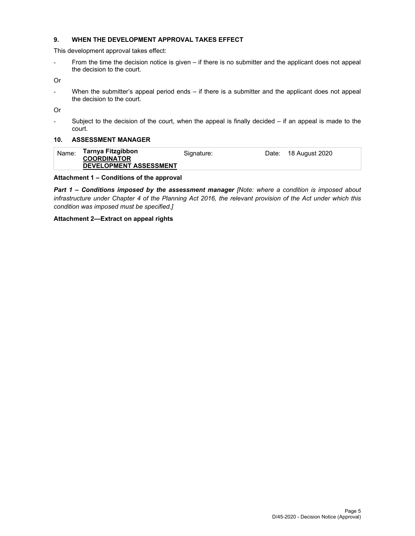### **9. WHEN THE DEVELOPMENT APPROVAL TAKES EFFECT**

This development approval takes effect:

- From the time the decision notice is given – if there is no submitter and the applicant does not appeal the decision to the court.

Or

- When the submitter's appeal period ends – if there is a submitter and the applicant does not appeal the decision to the court.

Or

- Subject to the decision of the court, when the appeal is finally decided – if an appeal is made to the court.

#### **10. ASSESSMENT MANAGER**

| Name: | Tarnya Fitzgibbon<br><b>COORDINATOR</b> | Signature: | Date: 18 August 2020 |
|-------|-----------------------------------------|------------|----------------------|
|       | <b>DEVELOPMENT ASSESSMENT</b>           |            |                      |

#### **Attachment 1 – Conditions of the approval**

*Part 1* **–** *Conditions imposed by the assessment manager [Note: where a condition is imposed about infrastructure under Chapter 4 of the Planning Act 2016, the relevant provision of the Act under which this condition was imposed must be specified.]*

#### **Attachment 2—Extract on appeal rights**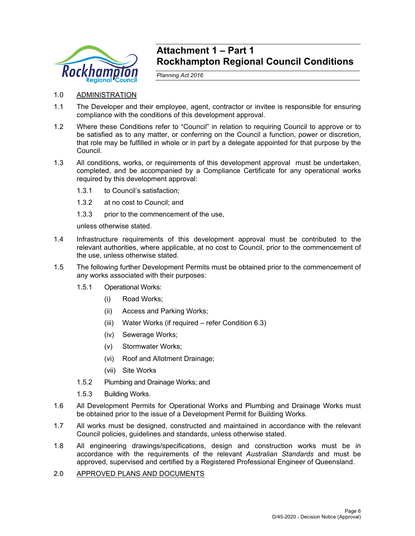

# **Attachment 1 – Part 1 Rockhampton Regional Council Conditions**

*Planning Act 2016* 

- 1.0 ADMINISTRATION
- 1.1 The Developer and their employee, agent, contractor or invitee is responsible for ensuring compliance with the conditions of this development approval.
- 1.2 Where these Conditions refer to "Council" in relation to requiring Council to approve or to be satisfied as to any matter, or conferring on the Council a function, power or discretion, that role may be fulfilled in whole or in part by a delegate appointed for that purpose by the Council.
- 1.3 All conditions, works, or requirements of this development approval must be undertaken, completed, and be accompanied by a Compliance Certificate for any operational works required by this development approval:
	- 1.3.1 to Council's satisfaction;
	- 1.3.2 at no cost to Council; and
	- 1.3.3 prior to the commencement of the use,

unless otherwise stated.

- 1.4 Infrastructure requirements of this development approval must be contributed to the relevant authorities, where applicable, at no cost to Council, prior to the commencement of the use, unless otherwise stated.
- 1.5 The following further Development Permits must be obtained prior to the commencement of any works associated with their purposes:
	- 1.5.1 Operational Works:
		- (i) Road Works;
		- (ii) Access and Parking Works;
		- (iii) Water Works (if required refer Condition 6.3)
		- (iv) Sewerage Works;
		- (v) Stormwater Works;
		- (vi) Roof and Allotment Drainage;
		- (vii) Site Works
	- 1.5.2 Plumbing and Drainage Works; and
	- 1.5.3 Building Works.
- 1.6 All Development Permits for Operational Works and Plumbing and Drainage Works must be obtained prior to the issue of a Development Permit for Building Works.
- 1.7 All works must be designed, constructed and maintained in accordance with the relevant Council policies, guidelines and standards, unless otherwise stated.
- 1.8 All engineering drawings/specifications, design and construction works must be in accordance with the requirements of the relevant *Australian Standards* and must be approved, supervised and certified by a Registered Professional Engineer of Queensland.
- 2.0 APPROVED PLANS AND DOCUMENTS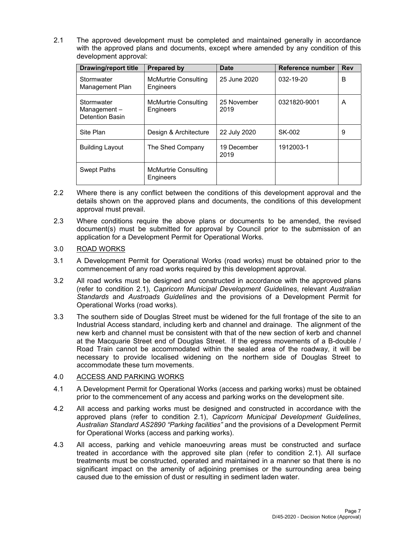2.1 The approved development must be completed and maintained generally in accordance with the approved plans and documents, except where amended by any condition of this development approval:

| Drawing/report title                                | Prepared by                       | <b>Date</b>         | Reference number | <b>Rev</b> |
|-----------------------------------------------------|-----------------------------------|---------------------|------------------|------------|
| Stormwater<br>Management Plan                       | McMurtrie Consulting<br>Engineers | 25 June 2020        | 032-19-20        | B          |
| Stormwater<br>Management-<br><b>Detention Basin</b> | McMurtrie Consulting<br>Engineers | 25 November<br>2019 | 0321820-9001     | A          |
| Site Plan                                           | Design & Architecture             | 22 July 2020        | SK-002           | 9          |
| <b>Building Layout</b>                              | The Shed Company                  | 19 December<br>2019 | 1912003-1        |            |
| <b>Swept Paths</b>                                  | McMurtrie Consulting<br>Engineers |                     |                  |            |

- 2.2 Where there is any conflict between the conditions of this development approval and the details shown on the approved plans and documents, the conditions of this development approval must prevail.
- 2.3 Where conditions require the above plans or documents to be amended, the revised document(s) must be submitted for approval by Council prior to the submission of an application for a Development Permit for Operational Works.

## 3.0 ROAD WORKS

- 3.1 A Development Permit for Operational Works (road works) must be obtained prior to the commencement of any road works required by this development approval.
- 3.2 All road works must be designed and constructed in accordance with the approved plans (refer to condition 2.1), *Capricorn Municipal Development Guidelines*, relevant *Australian Standards* and *Austroads Guidelines* and the provisions of a Development Permit for Operational Works (road works).
- 3.3 The southern side of Douglas Street must be widened for the full frontage of the site to an Industrial Access standard, including kerb and channel and drainage. The alignment of the new kerb and channel must be consistent with that of the new section of kerb and channel at the Macquarie Street end of Douglas Street. If the egress movements of a B-double / Road Train cannot be accommodated within the sealed area of the roadway, it will be necessary to provide localised widening on the northern side of Douglas Street to accommodate these turn movements.

# 4.0 ACCESS AND PARKING WORKS

- 4.1 A Development Permit for Operational Works (access and parking works) must be obtained prior to the commencement of any access and parking works on the development site.
- 4.2 All access and parking works must be designed and constructed in accordance with the approved plans (refer to condition 2.1), *Capricorn Municipal Development Guidelines*, *Australian Standard AS2890 "Parking facilities"* and the provisions of a Development Permit for Operational Works (access and parking works).
- 4.3 All access, parking and vehicle manoeuvring areas must be constructed and surface treated in accordance with the approved site plan (refer to condition 2.1). All surface treatments must be constructed, operated and maintained in a manner so that there is no significant impact on the amenity of adjoining premises or the surrounding area being caused due to the emission of dust or resulting in sediment laden water.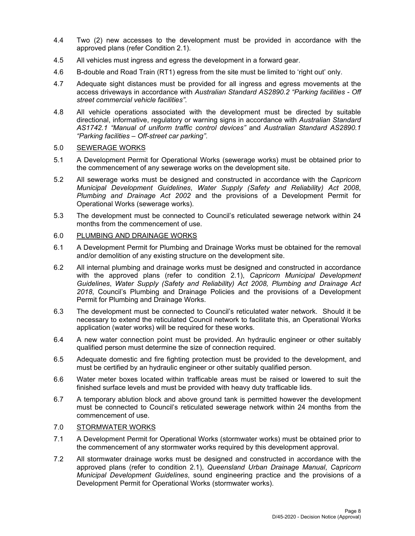- 4.4 Two (2) new accesses to the development must be provided in accordance with the approved plans (refer Condition 2.1).
- 4.5 All vehicles must ingress and egress the development in a forward gear.
- 4.6 B-double and Road Train (RT1) egress from the site must be limited to 'right out' only.
- 4.7 Adequate sight distances must be provided for all ingress and egress movements at the access driveways in accordance with *Australian Standard AS2890.2 "Parking facilities - Off street commercial vehicle facilities"*.
- 4.8 All vehicle operations associated with the development must be directed by suitable directional, informative, regulatory or warning signs in accordance with *Australian Standard AS1742.1 "Manual of uniform traffic control devices"* and *Australian Standard AS2890.1 "Parking facilities – Off-street car parking"*.

#### 5.0 SEWERAGE WORKS

- 5.1 A Development Permit for Operational Works (sewerage works) must be obtained prior to the commencement of any sewerage works on the development site.
- 5.2 All sewerage works must be designed and constructed in accordance with the *Capricorn Municipal Development Guidelines*, *Water Supply (Safety and Reliability) Act 2008*, *Plumbing and Drainage Act 2002* and the provisions of a Development Permit for Operational Works (sewerage works).
- 5.3 The development must be connected to Council's reticulated sewerage network within 24 months from the commencement of use.

#### 6.0 PLUMBING AND DRAINAGE WORKS

- 6.1 A Development Permit for Plumbing and Drainage Works must be obtained for the removal and/or demolition of any existing structure on the development site.
- 6.2 All internal plumbing and drainage works must be designed and constructed in accordance with the approved plans (refer to condition 2.1), *Capricorn Municipal Development Guidelines*, *Water Supply (Safety and Reliability) Act 2008, Plumbing and Drainage Act 2018*, Council's Plumbing and Drainage Policies and the provisions of a Development Permit for Plumbing and Drainage Works.
- 6.3 The development must be connected to Council's reticulated water network. Should it be necessary to extend the reticulated Council network to facilitate this, an Operational Works application (water works) will be required for these works.
- 6.4 A new water connection point must be provided. An hydraulic engineer or other suitably qualified person must determine the size of connection required.
- 6.5 Adequate domestic and fire fighting protection must be provided to the development, and must be certified by an hydraulic engineer or other suitably qualified person.
- 6.6 Water meter boxes located within trafficable areas must be raised or lowered to suit the finished surface levels and must be provided with heavy duty trafficable lids.
- 6.7 A temporary ablution block and above ground tank is permitted however the development must be connected to Council's reticulated sewerage network within 24 months from the commencement of use.

#### 7.0 STORMWATER WORKS

- 7.1 A Development Permit for Operational Works (stormwater works) must be obtained prior to the commencement of any stormwater works required by this development approval.
- 7.2 All stormwater drainage works must be designed and constructed in accordance with the approved plans (refer to condition 2.1), *Queensland Urban Drainage Manual*, *Capricorn Municipal Development Guidelines*, sound engineering practice and the provisions of a Development Permit for Operational Works (stormwater works).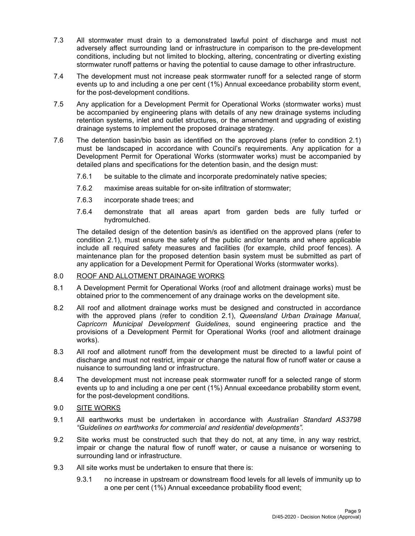- 7.3 All stormwater must drain to a demonstrated lawful point of discharge and must not adversely affect surrounding land or infrastructure in comparison to the pre-development conditions, including but not limited to blocking, altering, concentrating or diverting existing stormwater runoff patterns or having the potential to cause damage to other infrastructure.
- 7.4 The development must not increase peak stormwater runoff for a selected range of storm events up to and including a one per cent (1%) Annual exceedance probability storm event, for the post-development conditions.
- 7.5 Any application for a Development Permit for Operational Works (stormwater works) must be accompanied by engineering plans with details of any new drainage systems including retention systems, inlet and outlet structures, or the amendment and upgrading of existing drainage systems to implement the proposed drainage strategy.
- 7.6 The detention basin/bio basin as identified on the approved plans (refer to condition 2.1) must be landscaped in accordance with Council's requirements. Any application for a Development Permit for Operational Works (stormwater works) must be accompanied by detailed plans and specifications for the detention basin, and the design must:
	- 7.6.1 be suitable to the climate and incorporate predominately native species;
	- 7.6.2 maximise areas suitable for on-site infiltration of stormwater;
	- 7.6.3 incorporate shade trees; and
	- 7.6.4 demonstrate that all areas apart from garden beds are fully turfed or hydromulched.

The detailed design of the detention basin/s as identified on the approved plans (refer to condition 2.1), must ensure the safety of the public and/or tenants and where applicable include all required safety measures and facilities (for example, child proof fences). A maintenance plan for the proposed detention basin system must be submitted as part of any application for a Development Permit for Operational Works (stormwater works).

# 8.0 ROOF AND ALLOTMENT DRAINAGE WORKS

- 8.1 A Development Permit for Operational Works (roof and allotment drainage works) must be obtained prior to the commencement of any drainage works on the development site.
- 8.2 All roof and allotment drainage works must be designed and constructed in accordance with the approved plans (refer to condition 2.1), *Queensland Urban Drainage Manual*, *Capricorn Municipal Development Guidelines*, sound engineering practice and the provisions of a Development Permit for Operational Works (roof and allotment drainage works).
- 8.3 All roof and allotment runoff from the development must be directed to a lawful point of discharge and must not restrict, impair or change the natural flow of runoff water or cause a nuisance to surrounding land or infrastructure.
- 8.4 The development must not increase peak stormwater runoff for a selected range of storm events up to and including a one per cent (1%) Annual exceedance probability storm event, for the post-development conditions.

#### 9.0 SITE WORKS

- 9.1 All earthworks must be undertaken in accordance with *Australian Standard AS3798 "Guidelines on earthworks for commercial and residential developments".*
- 9.2 Site works must be constructed such that they do not, at any time, in any way restrict, impair or change the natural flow of runoff water, or cause a nuisance or worsening to surrounding land or infrastructure.
- 9.3 All site works must be undertaken to ensure that there is:
	- 9.3.1 no increase in upstream or downstream flood levels for all levels of immunity up to a one per cent (1%) Annual exceedance probability flood event;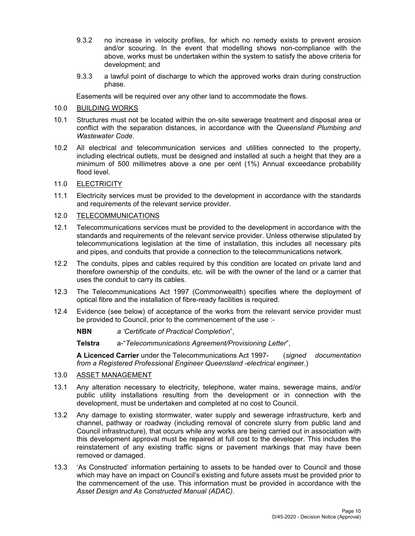- 9.3.2 no increase in velocity profiles, for which no remedy exists to prevent erosion and/or scouring. In the event that modelling shows non-compliance with the above, works must be undertaken within the system to satisfy the above criteria for development; and
- 9.3.3 a lawful point of discharge to which the approved works drain during construction phase.

Easements will be required over any other land to accommodate the flows.

- 10.0 BUILDING WORKS
- 10.1 Structures must not be located within the on-site sewerage treatment and disposal area or conflict with the separation distances, in accordance with the *Queensland Plumbing and Wastewater Code*.
- 10.2 All electrical and telecommunication services and utilities connected to the property, including electrical outlets, must be designed and installed at such a height that they are a minimum of 500 millimetres above a one per cent (1%) Annual exceedance probability flood level.
- 11.0 ELECTRICITY
- 11.1 Electricity services must be provided to the development in accordance with the standards and requirements of the relevant service provider.
- 12.0 TELECOMMUNICATIONS
- 12.1 Telecommunications services must be provided to the development in accordance with the standards and requirements of the relevant service provider. Unless otherwise stipulated by telecommunications legislation at the time of installation, this includes all necessary pits and pipes, and conduits that provide a connection to the telecommunications network.
- 12.2 The conduits, pipes and cables required by this condition are located on private land and therefore ownership of the conduits, etc. will be with the owner of the land or a carrier that uses the conduit to carry its cables.
- 12.3 The Telecommunications Act 1997 (Commonwealth) specifies where the deployment of optical fibre and the installation of fibre-ready facilities is required.
- 12.4 Evidence (see below) of acceptance of the works from the relevant service provider must be provided to Council, prior to the commencement of the use :-
	- **NBN** *a 'Certificate of Practical Completion*",
	- **Telstra** a-"*Telecommunications Agreement/Provisioning Letter*",

**A Licenced Carrier** under the Telecommunications Act 1997- (*signed documentation from a Registered Professional Engineer Queensland -electrical enginee*r.)

- 13.0 ASSET MANAGEMENT
- 13.1 Any alteration necessary to electricity, telephone, water mains, sewerage mains, and/or public utility installations resulting from the development or in connection with the development, must be undertaken and completed at no cost to Council.
- 13.2 Any damage to existing stormwater, water supply and sewerage infrastructure, kerb and channel, pathway or roadway (including removal of concrete slurry from public land and Council infrastructure), that occurs while any works are being carried out in association with this development approval must be repaired at full cost to the developer. This includes the reinstatement of any existing traffic signs or pavement markings that may have been removed or damaged.
- 13.3 'As Constructed' information pertaining to assets to be handed over to Council and those which may have an impact on Council's existing and future assets must be provided prior to the commencement of the use. This information must be provided in accordance with the *Asset Design and As Constructed Manual (ADAC).*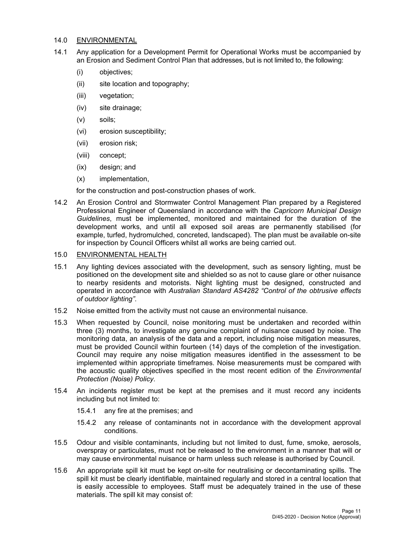#### 14.0 ENVIRONMENTAL

- 14.1 Any application for a Development Permit for Operational Works must be accompanied by an Erosion and Sediment Control Plan that addresses, but is not limited to, the following:
	- (i) objectives;
	- (ii) site location and topography;
	- (iii) vegetation;
	- (iv) site drainage;
	- (v) soils;
	- (vi) erosion susceptibility;
	- (vii) erosion risk;
	- (viii) concept;
	- (ix) design; and
	- (x) implementation,

for the construction and post-construction phases of work.

- 14.2 An Erosion Control and Stormwater Control Management Plan prepared by a Registered Professional Engineer of Queensland in accordance with the *Capricorn Municipal Design Guidelines*, must be implemented, monitored and maintained for the duration of the development works, and until all exposed soil areas are permanently stabilised (for example, turfed, hydromulched, concreted, landscaped). The plan must be available on-site for inspection by Council Officers whilst all works are being carried out.
- 15.0 ENVIRONMENTAL HEALTH
- 15.1 Any lighting devices associated with the development, such as sensory lighting, must be positioned on the development site and shielded so as not to cause glare or other nuisance to nearby residents and motorists. Night lighting must be designed, constructed and operated in accordance with *Australian Standard AS4282 "Control of the obtrusive effects of outdoor lighting"*.
- 15.2 Noise emitted from the activity must not cause an environmental nuisance.
- 15.3 When requested by Council, noise monitoring must be undertaken and recorded within three (3) months, to investigate any genuine complaint of nuisance caused by noise. The monitoring data, an analysis of the data and a report, including noise mitigation measures, must be provided Council within fourteen (14) days of the completion of the investigation. Council may require any noise mitigation measures identified in the assessment to be implemented within appropriate timeframes. Noise measurements must be compared with the acoustic quality objectives specified in the most recent edition of the *Environmental Protection (Noise) Policy*.
- 15.4 An incidents register must be kept at the premises and it must record any incidents including but not limited to:
	- 15.4.1 any fire at the premises; and
	- 15.4.2 any release of contaminants not in accordance with the development approval conditions.
- 15.5 Odour and visible contaminants, including but not limited to dust, fume, smoke, aerosols, overspray or particulates, must not be released to the environment in a manner that will or may cause environmental nuisance or harm unless such release is authorised by Council.
- 15.6 An appropriate spill kit must be kept on-site for neutralising or decontaminating spills. The spill kit must be clearly identifiable, maintained regularly and stored in a central location that is easily accessible to employees. Staff must be adequately trained in the use of these materials. The spill kit may consist of: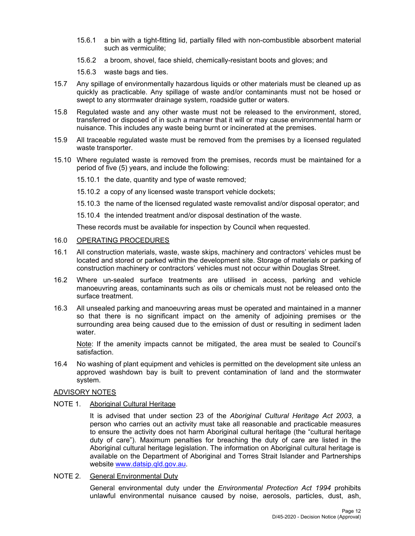- 15.6.1 a bin with a tight-fitting lid, partially filled with non-combustible absorbent material such as vermiculite;
- 15.6.2 a broom, shovel, face shield, chemically-resistant boots and gloves; and
- 15.6.3 waste bags and ties.
- 15.7 Any spillage of environmentally hazardous liquids or other materials must be cleaned up as quickly as practicable. Any spillage of waste and/or contaminants must not be hosed or swept to any stormwater drainage system, roadside gutter or waters.
- 15.8 Regulated waste and any other waste must not be released to the environment, stored, transferred or disposed of in such a manner that it will or may cause environmental harm or nuisance. This includes any waste being burnt or incinerated at the premises.
- 15.9 All traceable regulated waste must be removed from the premises by a licensed regulated waste transporter.
- 15.10 Where regulated waste is removed from the premises, records must be maintained for a period of five (5) years, and include the following:
	- 15.10.1 the date, quantity and type of waste removed;
	- 15.10.2 a copy of any licensed waste transport vehicle dockets;
	- 15.10.3 the name of the licensed regulated waste removalist and/or disposal operator; and
	- 15.10.4 the intended treatment and/or disposal destination of the waste.

These records must be available for inspection by Council when requested.

#### 16.0 OPERATING PROCEDURES

- 16.1 All construction materials, waste, waste skips, machinery and contractors' vehicles must be located and stored or parked within the development site. Storage of materials or parking of construction machinery or contractors' vehicles must not occur within Douglas Street.
- 16.2 Where un-sealed surface treatments are utilised in access, parking and vehicle manoeuvring areas, contaminants such as oils or chemicals must not be released onto the surface treatment.
- 16.3 All unsealed parking and manoeuvring areas must be operated and maintained in a manner so that there is no significant impact on the amenity of adjoining premises or the surrounding area being caused due to the emission of dust or resulting in sediment laden water.

Note: If the amenity impacts cannot be mitigated, the area must be sealed to Council's satisfaction.

16.4 No washing of plant equipment and vehicles is permitted on the development site unless an approved washdown bay is built to prevent contamination of land and the stormwater system.

#### ADVISORY NOTES

#### NOTE 1. Aboriginal Cultural Heritage

It is advised that under section 23 of the *Aboriginal Cultural Heritage Act 2003*, a person who carries out an activity must take all reasonable and practicable measures to ensure the activity does not harm Aboriginal cultural heritage (the "cultural heritage duty of care"). Maximum penalties for breaching the duty of care are listed in the Aboriginal cultural heritage legislation. The information on Aboriginal cultural heritage is available on the Department of Aboriginal and Torres Strait Islander and Partnerships website www.datsip.qld.gov.au.

NOTE 2. General Environmental Duty

General environmental duty under the *Environmental Protection Act 1994* prohibits unlawful environmental nuisance caused by noise, aerosols, particles, dust, ash,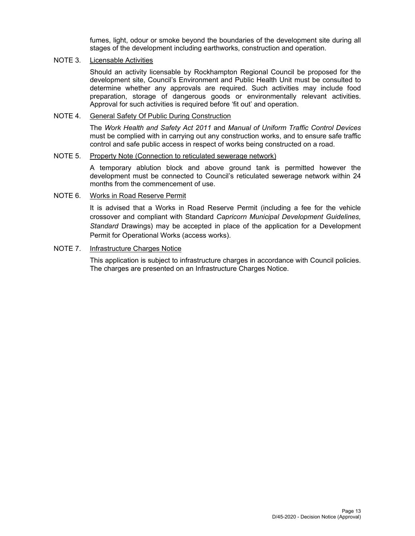fumes, light, odour or smoke beyond the boundaries of the development site during all stages of the development including earthworks, construction and operation.

## NOTE 3. Licensable Activities

Should an activity licensable by Rockhampton Regional Council be proposed for the development site, Council's Environment and Public Health Unit must be consulted to determine whether any approvals are required. Such activities may include food preparation, storage of dangerous goods or environmentally relevant activities. Approval for such activities is required before 'fit out' and operation.

### NOTE 4. General Safety Of Public During Construction

The *Work Health and Safety Act 2011* and *Manual of Uniform Traffic Control Devices* must be complied with in carrying out any construction works, and to ensure safe traffic control and safe public access in respect of works being constructed on a road.

# NOTE 5. Property Note (Connection to reticulated sewerage network)

A temporary ablution block and above ground tank is permitted however the development must be connected to Council's reticulated sewerage network within 24 months from the commencement of use.

#### NOTE 6. Works in Road Reserve Permit

It is advised that a Works in Road Reserve Permit (including a fee for the vehicle crossover and compliant with Standard *Capricorn Municipal Development Guidelines, Standard* Drawings) may be accepted in place of the application for a Development Permit for Operational Works (access works).

#### NOTE 7. Infrastructure Charges Notice

This application is subject to infrastructure charges in accordance with Council policies. The charges are presented on an Infrastructure Charges Notice.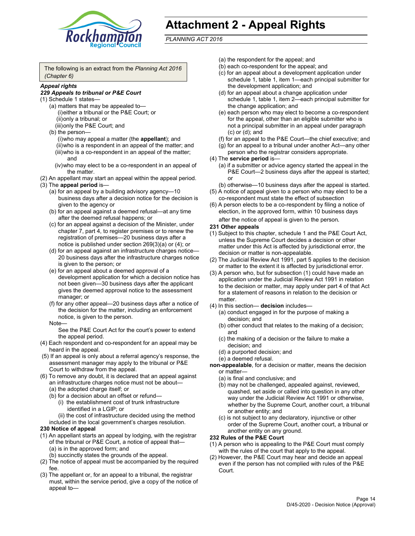

# **Attachment 2 - Appeal Rights**

*PLANNING ACT 2016*

The following is an extract from the *Planning Act 2016 (Chapter 6)*

#### *Appeal rights*

#### *229 Appeals to tribunal or P&E Court*

- (1) Schedule 1 states—
	- (a) matters that may be appealed to— (i) either a tribunal or the P&E Court; or (ii) only a tribunal; or (iii) only the P&E Court; and
	- (b) the person—
		- (i) who may appeal a matter (the **appellant**); and
		- (ii) who is a respondent in an appeal of the matter; and (iii) who is a co-respondent in an appeal of the matter; and
		- (iv) who may elect to be a co-respondent in an appeal of the matter.
- (2) An appellant may start an appeal within the appeal period.
- (3) The **appeal period** is—
	- (a) for an appeal by a building advisory agency—10 business days after a decision notice for the decision is given to the agency or
	- (b) for an appeal against a deemed refusal—at any time after the deemed refusal happens; or
	- (c) for an appeal against a decision of the Minister, under chapter 7, part 4, to register premises or to renew the registration of premises—20 business days after a notice is published under section 269(3)(a) or (4); or
	- (d) for an appeal against an infrastructure charges notice— 20 business days after the infrastructure charges notice is given to the person; or
	- (e) for an appeal about a deemed approval of a development application for which a decision notice has not been given—30 business days after the applicant gives the deemed approval notice to the assessment manager; or
	- (f) for any other appeal—20 business days after a notice of the decision for the matter, including an enforcement notice, is given to the person.

#### Note—

See the P&E Court Act for the court's power to extend the appeal period.

- (4) Each respondent and co-respondent for an appeal may be heard in the appeal.
- (5) If an appeal is only about a referral agency's response, the assessment manager may apply to the tribunal or P&E Court to withdraw from the appeal.
- (6) To remove any doubt, it is declared that an appeal against an infrastructure charges notice must not be about— (a) the adopted charge itself; or
	- (b) for a decision about an offset or refund—
		- (i) the establishment cost of trunk infrastructure identified in a LGIP; or
		- (ii) the cost of infrastructure decided using the method
	- included in the local government's charges resolution.

#### **230 Notice of appeal**

- (1) An appellant starts an appeal by lodging, with the registrar of the tribunal or P&E Court, a notice of appeal that— (a) is in the approved form; and
	- (b) succinctly states the grounds of the appeal.
- (2) The notice of appeal must be accompanied by the required fee.
- (3) The appellant or, for an appeal to a tribunal, the registrar must, within the service period, give a copy of the notice of appeal to—
- (a) the respondent for the appeal; and
- (b) each co-respondent for the appeal; and
- (c) for an appeal about a development application under schedule 1, table 1, item 1—each principal submitter for the development application; and
- (d) for an appeal about a change application under schedule 1, table 1, item 2—each principal submitter for the change application; and
- (e) each person who may elect to become a co-respondent for the appeal, other than an eligible submitter who is not a principal submitter in an appeal under paragraph (c) or (d); and
- (f) for an appeal to the P&E Court—the chief executive; and
- (g) for an appeal to a tribunal under another Act—any other person who the registrar considers appropriate.
- (4) The **service period** is—
	- (a) if a submitter or advice agency started the appeal in the P&E Court-2 business days after the appeal is started; or
	- (b) otherwise—10 business days after the appeal is started.
- (5) A notice of appeal given to a person who may elect to be a co-respondent must state the effect of subsection
- (6) A person elects to be a co-respondent by filing a notice of election, in the approved form, within 10 business days
	- after the notice of appeal is given to the person*.*
- **231 Other appeals**
- (1) Subject to this chapter, schedule 1 and the P&E Court Act, unless the Supreme Court decides a decision or other matter under this Act is affected by jurisdictional error, the decision or matter is non-appealable.
- (2) The Judicial Review Act 1991, part 5 applies to the decision or matter to the extent it is affected by jurisdictional error.
- (3) A person who, but for subsection (1) could have made an application under the Judicial Review Act 1991 in relation to the decision or matter, may apply under part 4 of that Act for a statement of reasons in relation to the decision or matter.
- (4) In this section— **decision** includes—
	- (a) conduct engaged in for the purpose of making a decision; and
	- (b) other conduct that relates to the making of a decision; and
	- (c) the making of a decision or the failure to make a decision; and
	- (d) a purported decision; and
	- (e) a deemed refusal.

**non-appealable**, for a decision or matter, means the decision or matter—

- (a) is final and conclusive; and
- (b) may not be challenged, appealed against, reviewed, quashed, set aside or called into question in any other way under the Judicial Review Act 1991 or otherwise, whether by the Supreme Court, another court, a tribunal or another entity; and
- (c) is not subject to any declaratory, injunctive or other order of the Supreme Court, another court, a tribunal or another entity on any ground.

#### **232 Rules of the P&E Court**

- (1) A person who is appealing to the P&E Court must comply with the rules of the court that apply to the appeal.
- (2) However, the P&E Court may hear and decide an appeal even if the person has not complied with rules of the P&E Court.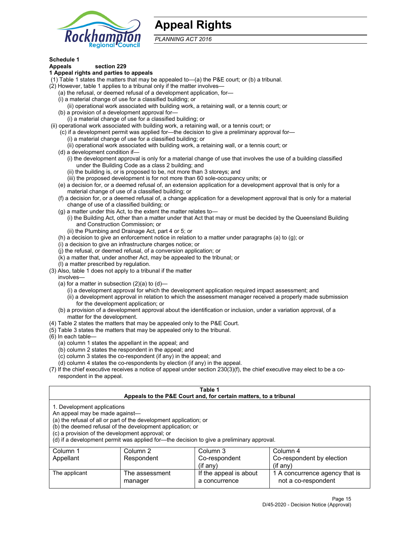

# **Appeal Rights**

*PLANNING ACT 2016*

# **Schedule 1**

# **Appeals section 229**

- **1 Appeal rights and parties to appeals**
- (1) Table 1 states the matters that may be appealed to—(a) the P&E court; or (b) a tribunal.
- (2) However, table 1 applies to a tribunal only if the matter involves—
	- (a) the refusal, or deemed refusal of a development application, for—
	- (i) a material change of use for a classified building; or
	- (ii) operational work associated with building work, a retaining wall, or a tennis court; or
	- (b) a provision of a development approval for—
	- (i) a material change of use for a classified building; or
- (ii) operational work associated with building work, a retaining wall, or a tennis court; or
	- (c) if a development permit was applied for—the decision to give a preliminary approval for— (i) a material change of use for a classified building; or
		- (ii) operational work associated with building work, a retaining wall, or a tennis court; or
	- (d) a development condition if—
		- (i) the development approval is only for a material change of use that involves the use of a building classified under the Building Code as a class 2 building; and
		- (ii) the building is, or is proposed to be, not more than 3 storeys; and
		- (iii) the proposed development is for not more than 60 sole-occupancy units; or
	- (e) a decision for, or a deemed refusal of, an extension application for a development approval that is only for a material change of use of a classified building; or
	- (f) a decision for, or a deemed refusal of, a change application for a development approval that is only for a material change of use of a classified building; or
	- (g) a matter under this Act, to the extent the matter relates to—
		- (i) the Building Act, other than a matter under that Act that may or must be decided by the Queensland Building and Construction Commission; or
		- (ii) the Plumbing and Drainage Act, part 4 or 5; or
	- (h) a decision to give an enforcement notice in relation to a matter under paragraphs (a) to (g); or
	- (i) a decision to give an infrastructure charges notice; or
	- (j) the refusal, or deemed refusal, of a conversion application; or
	- (k) a matter that, under another Act, may be appealed to the tribunal; or
	- (l) a matter prescribed by regulation.
- (3) Also, table 1 does not apply to a tribunal if the matter
	- involves—
		- (a) for a matter in subsection  $(2)(a)$  to  $(d)$ 
			- (i) a development approval for which the development application required impact assessment; and
			- (ii) a development approval in relation to which the assessment manager received a properly made submission for the development application; or
	- (b) a provision of a development approval about the identification or inclusion, under a variation approval, of a matter for the development.
- (4) Table 2 states the matters that may be appealed only to the P&E Court.
- (5) Table 3 states the matters that may be appealed only to the tribunal.
- (6) In each table—
	- (a) column 1 states the appellant in the appeal; and
	- (b) column 2 states the respondent in the appeal; and
	- (c) column 3 states the co-respondent (if any) in the appeal; and
	- (d) column 4 states the co-respondents by election (if any) in the appeal.
- (7) If the chief executive receives a notice of appeal under section 230(3)(f), the chief executive may elect to be a corespondent in the appeal.

| Table 1<br>Appeals to the P&E Court and, for certain matters, to a tribunal                                                                                                                                                                                                                                                                    |                           |                                         |                                                       |  |
|------------------------------------------------------------------------------------------------------------------------------------------------------------------------------------------------------------------------------------------------------------------------------------------------------------------------------------------------|---------------------------|-----------------------------------------|-------------------------------------------------------|--|
| 1. Development applications<br>An appeal may be made against-<br>(a) the refusal of all or part of the development application; or<br>(b) the deemed refusal of the development application; or<br>(c) a provision of the development approval; or<br>(d) if a development permit was applied for—the decision to give a preliminary approval. |                           |                                         |                                                       |  |
| Column 1                                                                                                                                                                                                                                                                                                                                       | Column 2                  | Column 3                                | Column 4                                              |  |
| Appellant                                                                                                                                                                                                                                                                                                                                      | Respondent                | Co-respondent<br>$($ if any $)$         | Co-respondent by election<br>$(if$ anv)               |  |
| The applicant                                                                                                                                                                                                                                                                                                                                  | The assessment<br>manager | If the appeal is about<br>a concurrence | 1 A concurrence agency that is<br>not a co-respondent |  |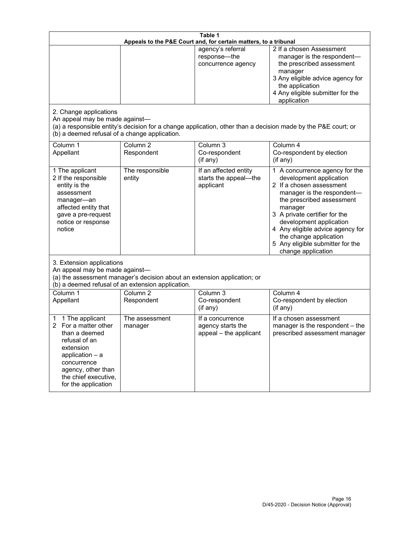| Table 1<br>Appeals to the P&E Court and, for certain matters, to a tribunal                                                                                                                             |                                   |                                                                 |                                                                                                                                                                                                                                                                                                                                                 |  |
|---------------------------------------------------------------------------------------------------------------------------------------------------------------------------------------------------------|-----------------------------------|-----------------------------------------------------------------|-------------------------------------------------------------------------------------------------------------------------------------------------------------------------------------------------------------------------------------------------------------------------------------------------------------------------------------------------|--|
| 2. Change applications<br>An appeal may be made against-<br>(b) a deemed refusal of a change application.                                                                                               |                                   | agency's referral<br>response-the<br>concurrence agency         | 2 If a chosen Assessment<br>manager is the respondent-<br>the prescribed assessment<br>manager<br>3 Any eligible advice agency for<br>the application<br>4 Any eligible submitter for the<br>application<br>(a) a responsible entity's decision for a change application, other than a decision made by the P&E court; or                       |  |
| Column 1<br>Appellant                                                                                                                                                                                   | Column <sub>2</sub><br>Respondent | Column 3<br>Co-respondent<br>(if any)                           | Column 4<br>Co-respondent by election<br>(if any)                                                                                                                                                                                                                                                                                               |  |
| 1 The applicant<br>2 If the responsible<br>entity is the<br>assessment<br>manager-an<br>affected entity that<br>gave a pre-request<br>notice or response<br>notice                                      | The responsible<br>entity         | If an affected entity<br>starts the appeal-the<br>applicant     | 1 A concurrence agency for the<br>development application<br>2 If a chosen assessment<br>manager is the respondent-<br>the prescribed assessment<br>manager<br>3 A private certifier for the<br>development application<br>4 Any eligible advice agency for<br>the change application<br>5 Any eligible submitter for the<br>change application |  |
| 3. Extension applications<br>An appeal may be made against-<br>(a) the assessment manager's decision about an extension application; or<br>(b) a deemed refusal of an extension application.            |                                   |                                                                 |                                                                                                                                                                                                                                                                                                                                                 |  |
| Column 1<br>Appellant                                                                                                                                                                                   | Column <sub>2</sub><br>Respondent | Column 3<br>Co-respondent<br>(if any)                           | Column 4<br>Co-respondent by election<br>(if any)                                                                                                                                                                                                                                                                                               |  |
| 1 The applicant<br>1<br>For a matter other<br>2<br>than a deemed<br>refusal of an<br>extension<br>application $-$ a<br>concurrence<br>agency, other than<br>the chief executive,<br>for the application | The assessment<br>manager         | If a concurrence<br>agency starts the<br>appeal - the applicant | If a chosen assessment<br>manager is the respondent - the<br>prescribed assessment manager                                                                                                                                                                                                                                                      |  |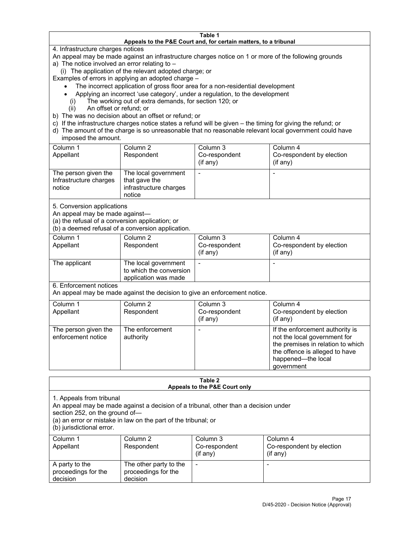#### **Table 1 Appeals to the P&E Court and, for certain matters, to a tribunal**

4. Infrastructure charges notices

An appeal may be made against an infrastructure charges notice on 1 or more of the following grounds

- a) The notice involved an error relating to
	- (i) The application of the relevant adopted charge; or

Examples of errors in applying an adopted charge –

- The incorrect application of gross floor area for a non-residential development
- Applying an incorrect 'use category', under a regulation, to the development
- (i) The working out of extra demands, for section 120; or
- (ii) An offset or refund; or
- b) The was no decision about an offset or refund; or
- c) If the infrastructure charges notice states a refund will be given the timing for giving the refund; or
- d) The amount of the charge is so unreasonable that no reasonable relevant local government could have imposed the amount.

| Column 1<br>Appellant                                    | Column 2<br>Respondent                                                    | Column 3<br>Co-respondent<br>(i f any) | Column 4<br>Co-respondent by election<br>(if any) |
|----------------------------------------------------------|---------------------------------------------------------------------------|----------------------------------------|---------------------------------------------------|
| The person given the<br>Infrastructure charges<br>notice | The local government<br>that gave the<br>infrastructure charges<br>notice |                                        |                                                   |

5. Conversion applications

An appeal may be made against—

(a) the refusal of a conversion application; or

(b) a deemed refusal of a conversion application.

| Column 1      | Column 2                | Column 3      | Column 4                  |
|---------------|-------------------------|---------------|---------------------------|
| Appellant     | Respondent              | Co-respondent | Co-respondent by election |
|               |                         | $(if$ any)    | (if any)                  |
| The applicant | The local government    |               |                           |
|               | to which the conversion |               |                           |
|               | application was made    |               |                           |

6. Enforcement notices

An appeal may be made against the decision to give an enforcement notice.

| Column 1<br>Appellant                      | Column 2<br>Respondent       | Column 3<br>Co-respondent<br>(if any) | Column 4<br>Co-respondent by election<br>(i f any)                                                                                                                         |
|--------------------------------------------|------------------------------|---------------------------------------|----------------------------------------------------------------------------------------------------------------------------------------------------------------------------|
| The person given the<br>enforcement notice | The enforcement<br>authority |                                       | If the enforcement authority is<br>not the local government for<br>the premises in relation to which<br>the offence is alleged to have<br>happened-the local<br>government |

#### **Table 2 Appeals to the P&E Court only**

1. Appeals from tribunal

An appeal may be made against a decision of a tribunal, other than a decision under

section 252, on the ground of—

(a) an error or mistake in law on the part of the tribunal; or

(b) jurisdictional error.

| Column 1<br>Appellant                             | Column 2<br>Respondent                                    | Column 3<br>Co-respondent<br>$(if$ any) | Column 4<br>Co-respondent by election<br>$(if$ any) |
|---------------------------------------------------|-----------------------------------------------------------|-----------------------------------------|-----------------------------------------------------|
| A party to the<br>proceedings for the<br>decision | The other party to the<br>proceedings for the<br>decision | $\overline{\phantom{a}}$                |                                                     |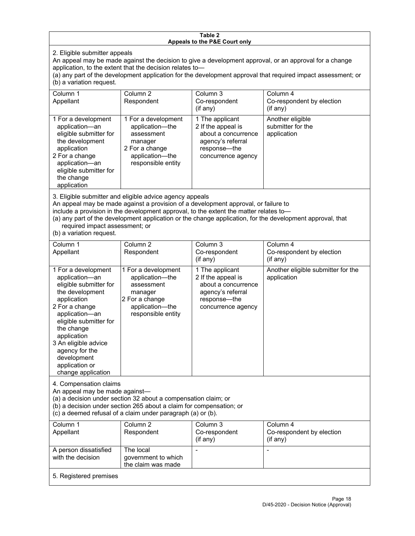#### **Table 2 Appeals to the P&E Court only**

2. Eligible submitter appeals

An appeal may be made against the decision to give a development approval, or an approval for a change application, to the extent that the decision relates to—

(a) any part of the development application for the development approval that required impact assessment; or (b) a variation request.

| Column 1<br>Appellant                                                                                                                                                                        | Column 2<br>Respondent                                                                                                     | Column 3<br>Co-respondent<br>$($ if any $)$                                                                             | Column 4<br>Co-respondent by election<br>$($ if any $)$ |
|----------------------------------------------------------------------------------------------------------------------------------------------------------------------------------------------|----------------------------------------------------------------------------------------------------------------------------|-------------------------------------------------------------------------------------------------------------------------|---------------------------------------------------------|
| 1 For a development<br>application-an<br>eligible submitter for<br>the development<br>application<br>2 For a change<br>application-an<br>eligible submitter for<br>the change<br>application | 1 For a development<br>application-the<br>assessment<br>manager<br>2 For a change<br>application-the<br>responsible entity | 1 The applicant<br>2 If the appeal is<br>about a concurrence<br>agency's referral<br>response-the<br>concurrence agency | Another eligible<br>submitter for the<br>application    |

3. Eligible submitter and eligible advice agency appeals

An appeal may be made against a provision of a development approval, or failure to

include a provision in the development approval, to the extent the matter relates to—

(a) any part of the development application or the change application, for the development approval, that required impact assessment; or

(b) a variation request.

| Column 1<br>Appellant                                                                                                                                                                                                                                                                         | Column <sub>2</sub><br>Respondent                                                                                          | Column 3<br>Co-respondent<br>(if any)                                                                                     | Column 4<br>Co-respondent by election<br>(if any)  |  |
|-----------------------------------------------------------------------------------------------------------------------------------------------------------------------------------------------------------------------------------------------------------------------------------------------|----------------------------------------------------------------------------------------------------------------------------|---------------------------------------------------------------------------------------------------------------------------|----------------------------------------------------|--|
| 1 For a development<br>application-an<br>eligible submitter for<br>the development<br>application<br>2 For a change<br>application-an<br>eligible submitter for<br>the change<br>application<br>3 An eligible advice<br>agency for the<br>development<br>application or<br>change application | 1 For a development<br>application-the<br>assessment<br>manager<br>2 For a change<br>application-the<br>responsible entity | 1 The applicant<br>2 If the appeal is<br>about a concurrence<br>agency's referral<br>response---the<br>concurrence agency | Another eligible submitter for the<br>application  |  |
| 4. Compensation claims<br>An appeal may be made against-<br>(a) a decision under section 32 about a compensation claim; or<br>(b) a decision under section 265 about a claim for compensation; or<br>(c) a deemed refusal of a claim under paragraph (a) or (b).                              |                                                                                                                            |                                                                                                                           |                                                    |  |
| Column <sub>1</sub><br>Appellant                                                                                                                                                                                                                                                              | Column <sub>2</sub><br>Respondent                                                                                          | Column 3<br>Co-respondent<br>(if any)                                                                                     | Column 4<br>Co-respondent by election<br>(i f any) |  |
| A person dissatisfied<br>with the decision                                                                                                                                                                                                                                                    | The local<br>government to which<br>the claim was made                                                                     |                                                                                                                           |                                                    |  |
| 5. Registered premises                                                                                                                                                                                                                                                                        |                                                                                                                            |                                                                                                                           |                                                    |  |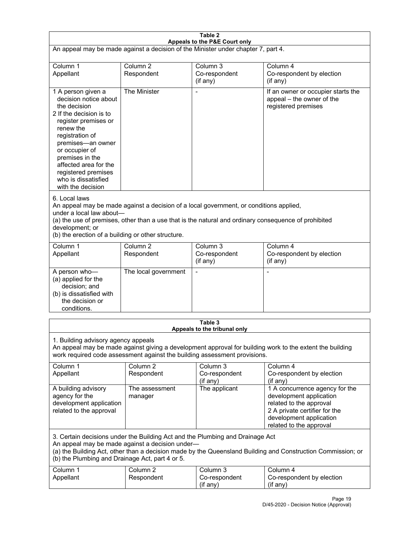| Table 2<br>Appeals to the P&E Court only                                                                                                                                                                                                                                                                             |                                   |                                                  |                                                                                                                                                                             |  |
|----------------------------------------------------------------------------------------------------------------------------------------------------------------------------------------------------------------------------------------------------------------------------------------------------------------------|-----------------------------------|--------------------------------------------------|-----------------------------------------------------------------------------------------------------------------------------------------------------------------------------|--|
| An appeal may be made against a decision of the Minister under chapter 7, part 4.                                                                                                                                                                                                                                    |                                   |                                                  |                                                                                                                                                                             |  |
| Column 1<br>Appellant                                                                                                                                                                                                                                                                                                | Column <sub>2</sub><br>Respondent | Column <sub>3</sub><br>Co-respondent<br>(if any) | Column 4<br>Co-respondent by election<br>(if any)                                                                                                                           |  |
| 1 A person given a<br>decision notice about<br>the decision<br>2 If the decision is to<br>register premises or<br>renew the<br>registration of<br>premises-an owner<br>or occupier of<br>premises in the<br>affected area for the<br>registered premises<br>who is dissatisfied<br>with the decision                 | The Minister                      | Ĭ.                                               | If an owner or occupier starts the<br>appeal - the owner of the<br>registered premises                                                                                      |  |
| 6. Local laws<br>An appeal may be made against a decision of a local government, or conditions applied,<br>under a local law about-<br>(a) the use of premises, other than a use that is the natural and ordinary consequence of prohibited<br>development; or<br>(b) the erection of a building or other structure. |                                   |                                                  |                                                                                                                                                                             |  |
| Column 1<br>Appellant                                                                                                                                                                                                                                                                                                | Column <sub>2</sub><br>Respondent | Column 3<br>Co-respondent<br>(if any)            | Column 4<br>Co-respondent by election<br>(if any)                                                                                                                           |  |
| A person who-<br>(a) applied for the<br>decision; and<br>(b) is dissatisfied with<br>the decision or<br>conditions.                                                                                                                                                                                                  | The local government              | L,                                               | $\overline{a}$                                                                                                                                                              |  |
|                                                                                                                                                                                                                                                                                                                      |                                   | Table 3<br>Appeals to the tribunal only          |                                                                                                                                                                             |  |
| 1. Building advisory agency appeals<br>An appeal may be made against giving a development approval for building work to the extent the building<br>work required code assessment against the building assessment provisions.                                                                                         |                                   |                                                  |                                                                                                                                                                             |  |
| Column 1<br>Appellant                                                                                                                                                                                                                                                                                                | Column <sub>2</sub><br>Respondent | Column 3<br>Co-respondent<br>(if any)            | Column 4<br>Co-respondent by election<br>(if any)                                                                                                                           |  |
| A building advisory<br>agency for the<br>development application<br>related to the approval                                                                                                                                                                                                                          | The assessment<br>manager         | The applicant                                    | 1 A concurrence agency for the<br>development application<br>related to the approval<br>2 A private certifier for the<br>development application<br>related to the approval |  |
| 3. Certain decisions under the Building Act and the Plumbing and Drainage Act<br>An appeal may be made against a decision under-<br>(a) the Building Act, other than a decision made by the Queensland Building and Construction Commission; or<br>(b) the Plumbing and Drainage Act, part 4 or 5.                   |                                   |                                                  |                                                                                                                                                                             |  |
| Column 1<br>Appellant                                                                                                                                                                                                                                                                                                | Column <sub>2</sub><br>Respondent | Column 3<br>Co-respondent<br>(if any)            | Column 4<br>Co-respondent by election<br>(if any)                                                                                                                           |  |